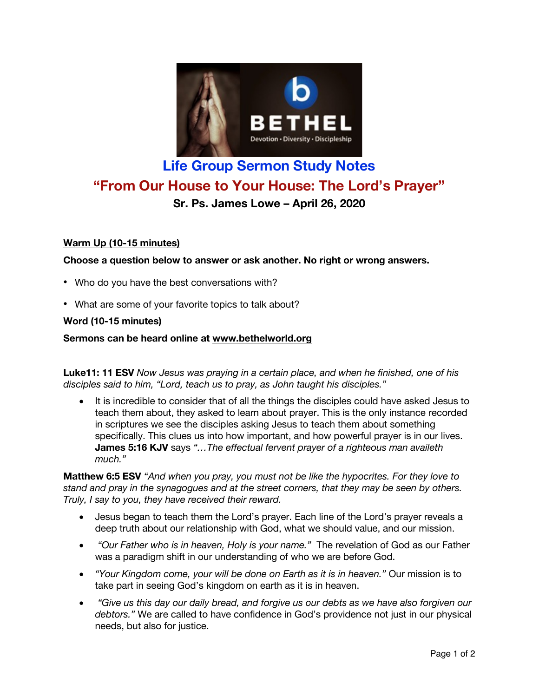

# **Life Group Sermon Study Notes "From Our House to Your House: The Lord's Prayer" Sr. Ps. James Lowe – April 26, 2020**

# **Warm Up (10-15 minutes)**

**Choose a question below to answer or ask another. No right or wrong answers.**

- Who do you have the best conversations with?
- What are some of your favorite topics to talk about?

### **Word (10-15 minutes)**

#### **Sermons can be heard online at www.bethelworld.org**

**Luke11: 11 ESV** *Now Jesus was praying in a certain place, and when he finished, one of his disciples said to him, "Lord, teach us to pray, as John taught his disciples."*

• It is incredible to consider that of all the things the disciples could have asked Jesus to teach them about, they asked to learn about prayer. This is the only instance recorded in scriptures we see the disciples asking Jesus to teach them about something specifically. This clues us into how important, and how powerful prayer is in our lives. **James 5:16 KJV** says *"…The effectual fervent prayer of a righteous man availeth much."*

**Matthew 6:5 ESV** *"And when you pray, you must not be like the hypocrites. For they love to stand and pray in the synagogues and at the street corners, that they may be seen by others. Truly, I say to you, they have received their reward.*

- Jesus began to teach them the Lord's prayer. Each line of the Lord's prayer reveals a deep truth about our relationship with God, what we should value, and our mission.
- *"Our Father who is in heaven, Holy is your name."* The revelation of God as our Father was a paradigm shift in our understanding of who we are before God.
- *"Your Kingdom come, your will be done on Earth as it is in heaven."* Our mission is to take part in seeing God's kingdom on earth as it is in heaven.
- *"Give us this day our daily bread, and forgive us our debts as we have also forgiven our debtors."* We are called to have confidence in God's providence not just in our physical needs, but also for justice.